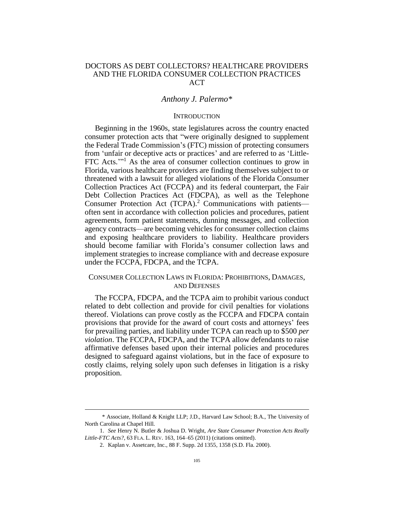# DOCTORS AS DEBT COLLECTORS? HEALTHCARE PROVIDERS AND THE FLORIDA CONSUMER COLLECTION PRACTICES ACT

# *Anthony J. Palermo\**

### **INTRODUCTION**

Beginning in the 1960s, state legislatures across the country enacted consumer protection acts that "were originally designed to supplement the Federal Trade Commission's (FTC) mission of protecting consumers from 'unfair or deceptive acts or practices' and are referred to as 'Little-FTC Acts."<sup>1</sup> As the area of consumer collection continues to grow in Florida, various healthcare providers are finding themselves subject to or threatened with a lawsuit for alleged violations of the Florida Consumer Collection Practices Act (FCCPA) and its federal counterpart, the Fair Debt Collection Practices Act (FDCPA), as well as the Telephone Consumer Protection Act (TCPA).<sup>2</sup> Communications with patientsoften sent in accordance with collection policies and procedures, patient agreements, form patient statements, dunning messages, and collection agency contracts—are becoming vehicles for consumer collection claims and exposing healthcare providers to liability. Healthcare providers should become familiar with Florida's consumer collection laws and implement strategies to increase compliance with and decrease exposure under the FCCPA, FDCPA, and the TCPA.

# CONSUMER COLLECTION LAWS IN FLORIDA: PROHIBITIONS, DAMAGES, AND DEFENSES

The FCCPA, FDCPA, and the TCPA aim to prohibit various conduct related to debt collection and provide for civil penalties for violations thereof. Violations can prove costly as the FCCPA and FDCPA contain provisions that provide for the award of court costs and attorneys' fees for prevailing parties, and liability under TCPA can reach up to \$500 *per violation*. The FCCPA, FDCPA, and the TCPA allow defendants to raise affirmative defenses based upon their internal policies and procedures designed to safeguard against violations, but in the face of exposure to costly claims, relying solely upon such defenses in litigation is a risky proposition.

<sup>\*</sup> Associate, Holland & Knight LLP; J.D., Harvard Law School; B.A., The University of North Carolina at Chapel Hill.

<sup>1.</sup> *See* Henry N. Butler & Joshua D. Wright, *Are State Consumer Protection Acts Really Little-FTC Acts?*, 63 FLA. L. REV. 163, 164–65 (2011) (citations omitted).

<sup>2.</sup> Kaplan v. Assetcare, Inc., 88 F. Supp. 2d 1355, 1358 (S.D. Fla. 2000).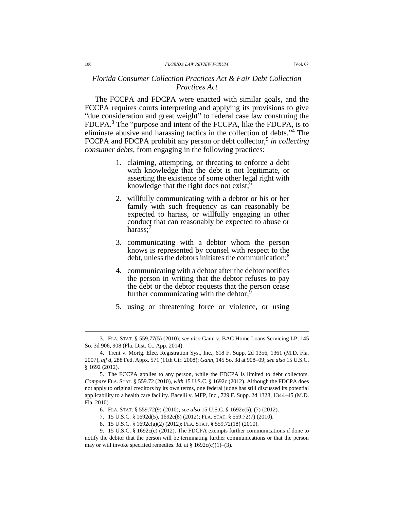### *Florida Consumer Collection Practices Act & Fair Debt Collection Practices Act*

The FCCPA and FDCPA were enacted with similar goals, and the FCCPA requires courts interpreting and applying its provisions to give "due consideration and great weight" to federal case law construing the FDCPA.<sup>3</sup> The "purpose and intent of the FCCPA, like the FDCPA, is to eliminate abusive and harassing tactics in the collection of debts." <sup>4</sup> The FCCPA and FDCPA prohibit any person or debt collector,<sup>5</sup> in collecting *consumer debts,* from engaging in the following practices:

- 1. claiming, attempting, or threating to enforce a debt with knowledge that the debt is not legitimate, or asserting the existence of some other legal right with knowledge that the right does not exist;<sup>6</sup>
- 2. willfully communicating with a debtor or his or her family with such frequency as can reasonably be expected to harass, or willfully engaging in other conduct that can reasonably be expected to abuse or harass: $7$
- 3. communicating with a debtor whom the person knows is represented by counsel with respect to the debt, unless the debtors initiates the communication;<sup>8</sup>
- 4. communicating with a debtor after the debtor notifies the person in writing that the debtor refuses to pay the debt or the debtor requests that the person cease further communicating with the debtor;<sup>9</sup>
- 5. using or threatening force or violence, or using

<sup>3.</sup> FLA. STAT. § 559.77(5) (2010); *see also* Gann v. BAC Home Loans Servicing LP, 145 So. 3d 906, 908 (Fla. Dist. Ct. App. 2014).

<sup>4.</sup> Trent v. Mortg. Elec. Registration Sys., Inc., 618 F. Supp. 2d 1356, 1361 (M.D. Fla. 2007), *aff'd*, 288 Fed. Appx. 571 (11th Cir. 2008); *Gann*, 145 So. 3d at 908–09; *see also* 15 U.S.C. § 1692 (2012).

<sup>5.</sup> The FCCPA applies to any person, while the FDCPA is limited to debt collectors. *Compare* FLA. STAT. § 559.72 (2010), *with* 15 U.S.C. § 1692c (2012). Although the FDCPA does not apply to original creditors by its own terms, one federal judge has still discussed its potential applicability to a health care facility. Bacelli v. MFP, Inc., 729 F. Supp. 2d 1328, 1344–45 (M.D. Fla. 2010).

<sup>6.</sup> FLA. STAT. § 559.72(9) (2010); *see also* 15 U.S.C. § 1692e(5), (7) (2012).

<sup>7.</sup> 15 U.S.C. § 1692d(5), 1692e(8) (2012); FLA. STAT. § 559.72(7) (2010).

<sup>8.</sup> 15 U.S.C. § 1692c(a)(2) (2012); FLA. STAT. § 559.72(18) (2010).

<sup>9.</sup> 15 U.S.C. § 1692c(c) (2012). The FDCPA exempts further communications if done to notify the debtor that the person will be terminating further communications or that the person may or will invoke specified remedies. *Id.* at § 1692c(c)(1)–(3).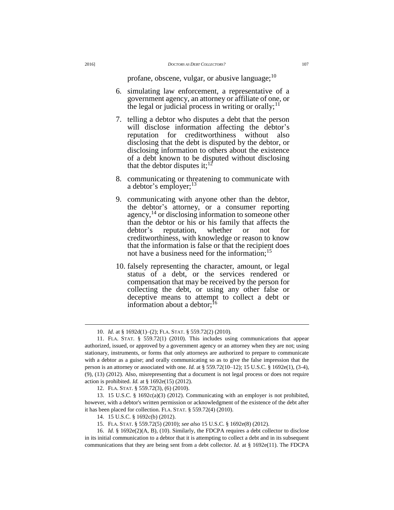profane, obscene, vulgar, or abusive language; $^{10}$ 

- 6. simulating law enforcement, a representative of a government agency, an attorney or affiliate of one, or the legal or judicial process in writing or orally;  $\mathbb{I}^1$
- 7. telling a debtor who disputes a debt that the person will disclose information affecting the debtor's reputation for creditworthiness without also disclosing that the debt is disputed by the debtor, or disclosing information to others about the existence of a debt known to be disputed without disclosing that the debtor disputes it;  $12$
- 8. communicating or threatening to communicate with a debtor's employer;<sup>13</sup>
- 9. communicating with anyone other than the debtor, the debtor's attorney, or a consumer reporting agency,  $^{14}$  or disclosing information to someone other than the debtor or his or his family that affects the debtor's reputation, whether or not for creditworthiness, with knowledge or reason to know that the information is false or that the recipient does not have a business need for the information;<sup>15</sup>
- 10. falsely representing the character, amount, or legal status of a debt, or the services rendered or compensation that may be received by the person for collecting the debt, or using any other false or deceptive means to attempt to collect a debt or information about a debtor; $16$

<sup>10.</sup> *Id.* at § 1692d(1)–(2); FLA. STAT. § 559.72(2) (2010).

<sup>11.</sup> FLA. STAT. § 559.72(1) (2010). This includes using communications that appear authorized, issued, or approved by a government agency or an attorney when they are not; using stationary, instruments, or forms that only attorneys are authorized to prepare to communicate with a debtor as a guise; and orally communicating so as to give the false impression that the person is an attorney or associated with one. *Id.* at § 559.72(10–12); 15 U.S.C. § 1692e(1), (3-4), (9), (13) (2012). Also, misrepresenting that a document is not legal process or does not require action is prohibited. *Id.* at § 1692e(15) (2012).

<sup>12.</sup> FLA. STAT. § 559.72(3), (6) (2010).

<sup>13.</sup> 15 U.S.C. § 1692c(a)(3) (2012). Communicating with an employer is not prohibited, however, with a debtor's written permission or acknowledgment of the existence of the debt after it has been placed for collection. FLA. STAT. § 559.72(4) (2010).

<sup>14.</sup> 15 U.S.C. § 1692c(b) (2012).

<sup>15.</sup> FLA. STAT. § 559.72(5) (2010); *see also* 15 U.S.C. § 1692e(8) (2012).

<sup>16.</sup> *Id.* § 1692e(2)(A, B), (10). Similarly, the FDCPA requires a debt collector to disclose in its initial communication to a debtor that it is attempting to collect a debt and in its subsequent communications that they are being sent from a debt collector. *Id.* at § 1692e(11). The FDCPA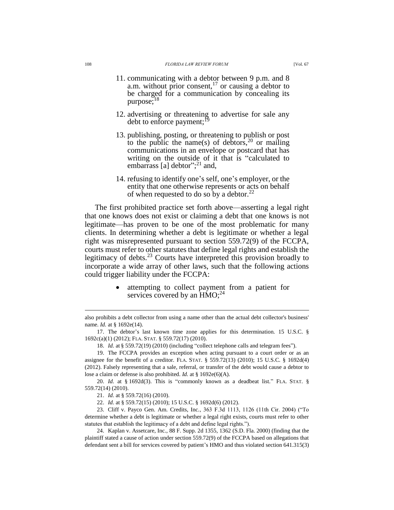- 11. communicating with a debtor between 9 p.m. and 8 a.m. without prior consent,<sup>17</sup> or causing a debtor to be charged for a communication by concealing its purpose;<sup>18</sup>
- 12. advertising or threatening to advertise for sale any debt to enforce payment;<sup>19</sup>
- 13. publishing, posting, or threatening to publish or post to the public the name(s) of debtors,  $20$  or mailing communications in an envelope or postcard that has writing on the outside of it that is "calculated to embarrass [a] debtor";<sup>21</sup> and,
- 14. refusing to identify one's self, one's employer, or the entity that one otherwise represents or acts on behalf of when requested to do so by a debtor.<sup>22</sup>

The first prohibited practice set forth above—asserting a legal right that one knows does not exist or claiming a debt that one knows is not legitimate—has proven to be one of the most problematic for many clients. In determining whether a debt is legitimate or whether a legal right was misrepresented pursuant to section 559.72(9) of the FCCPA, courts must refer to other statutes that define legal rights and establish the legitimacy of debts.<sup>23</sup> Courts have interpreted this provision broadly to incorporate a wide array of other laws, such that the following actions could trigger liability under the FCCPA:

> attempting to collect payment from a patient for services covered by an  $HMO$ ;<sup>24</sup>

also prohibits a debt collector from using a name other than the actual debt collector's business' name. *Id.* at § 1692e(14).

<sup>17.</sup> The debtor's last known time zone applies for this determination. 15 U.S.C. § 1692c(a)(1) (2012); FLA. STAT. § 559.72(17) (2010).

<sup>18.</sup> *Id.* at § 559.72(19) (2010) (including "collect telephone calls and telegram fees").

<sup>19.</sup> The FCCPA provides an exception when acting pursuant to a court order or as an assignee for the benefit of a creditor. FLA. STAT. § 559.72(13) (2010); 15 U.S.C. § 1692d(4) (2012). Falsely representing that a sale, referral, or transfer of the debt would cause a debtor to lose a claim or defense is also prohibited. *Id.* at § 1692e(6)(A).

<sup>20.</sup> *Id.* at § 1692d(3). This is "commonly known as a deadbeat list." FLA. STAT. § 559.72(14) (2010).

<sup>21.</sup> *Id.* at § 559.72(16) (2010).

<sup>22.</sup> *Id.* at § 559.72(15) (2010); 15 U.S.C. § 1692d(6) (2012).

<sup>23.</sup> Cliff v. Payco Gen. Am. Credits, Inc*.*, 363 F.3d 1113, 1126 (11th Cir. 2004) ("To determine whether a debt is legitimate or whether a legal right exists, courts must refer to other statutes that establish the legitimacy of a debt and define legal rights.").

<sup>24.</sup> Kaplan v. Assetcare, Inc., 88 F. Supp. 2d 1355, 1362 (S.D. Fla. 2000) (finding that the plaintiff stated a cause of action under section 559.72(9) of the FCCPA based on allegations that defendant sent a bill for services covered by patient's HMO and thus violated section 641.315(3)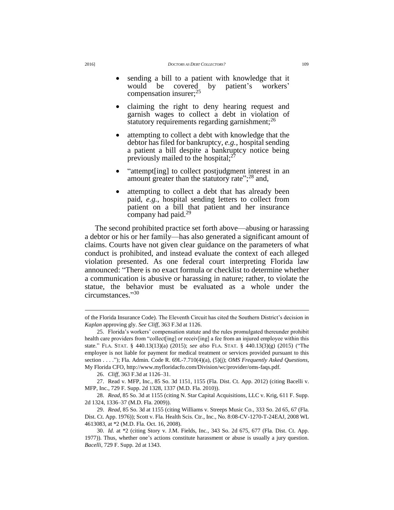- sending a bill to a patient with knowledge that it would be covered by patient's workers' compensation insurer;<sup>25</sup>
- claiming the right to deny hearing request and garnish wages to collect a debt in violation of statutory requirements regarding garnishment; $^{26}$
- attempting to collect a debt with knowledge that the debtor has filed for bankruptcy, *e.g.*, hospital sending a patient a bill despite a bankruptcy notice being previously mailed to the hospital;<sup>27</sup>
- "attempt[ing] to collect postjudgment interest in an amount greater than the statutory rate"; $^{28}$  and,
- attempting to collect a debt that has already been paid, *e.g.*, hospital sending letters to collect from patient on a bill that patient and her insurance company had paid.<sup>29</sup>

The second prohibited practice set forth above—abusing or harassing a debtor or his or her family—has also generated a significant amount of claims. Courts have not given clear guidance on the parameters of what conduct is prohibited, and instead evaluate the context of each alleged violation presented. As one federal court interpreting Florida law announced: "There is no exact formula or checklist to determine whether a communication is abusive or harassing in nature; rather, to violate the statue, the behavior must be evaluated as a whole under the circumstances." 30

of the Florida Insurance Code). The Eleventh Circuit has cited the Southern District's decision in *Kaplan* approving gly. *See Cliff*, 363 F.3d at 1126.

<sup>25.</sup> Florida's workers' compensation statute and the rules promulgated thereunder prohibit health care providers from "collect[ing] or receiv[ing] a fee from an injured employee within this state." FLA. STAT. § 440.13(13)(a) (2015); *see also* FLA. STAT. § 440.13(3)(g) (2015) ("The employee is not liable for payment for medical treatment or services provided pursuant to this section . . . ."); Fla. Admin. Code R. 69L-7.710(4)(a), (5)(j); *OMS Frequently Asked Questions*, My Florida CFO, [http://www.myfloridacfo.com/Division/wc/provider/oms-faqs.pdf.](http://www.myfloridacfo.com/Division/wc/provider/oms-faqs.pdf)

<sup>26.</sup> *Cliff*, 363 F.3d at 1126–31.

<sup>27.</sup> Read v. MFP, Inc., 85 So. 3d 1151, 1155 (Fla. Dist. Ct. App. 2012) (citing Bacelli v. MFP, Inc., 729 F. Supp. 2d 1328, 1337 (M.D. Fla. 2010)).

<sup>28.</sup> *Read*, 85 So. 3d at 1155 (citing N. Star Capital Acquisitions, LLC v. Krig, 611 F. Supp. 2d 1324, 1336–37 (M.D. Fla. 2009)).

<sup>29.</sup> *Read*, 85 So. 3d at 1155 (citing Williams v. Streeps Music Co., 333 So. 2d 65, 67 (Fla. Dist. Ct. App. 1976)); Scott v. Fla. Health Scis. Ctr., Inc., No. 8:08-CV-1270-T-24EAJ, 2008 WL 4613083, at \*2 (M.D. Fla. Oct. 16, 2008).

<sup>30.</sup> *Id.* at \*2 (citing Story v. J.M. Fields, Inc., 343 So. 2d 675, 677 (Fla. Dist. Ct. App. 1977)). Thus, whether one's actions constitute harassment or abuse is usually a jury question. *Bacelli*, 729 F. Supp. 2d at 1343.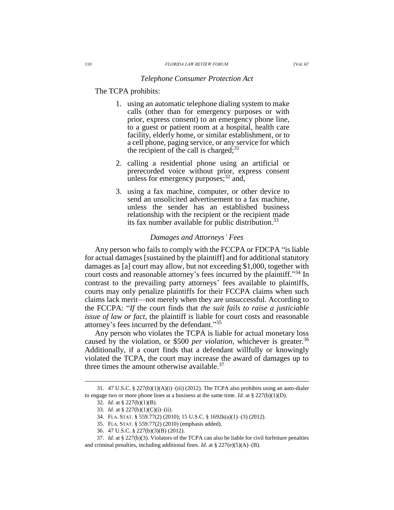#### *Telephone Consumer Protection Act*

## The TCPA prohibits:

- 1. using an automatic telephone dialing system to make calls (other than for emergency purposes or with prior, express consent) to an emergency phone line, to a guest or patient room at a hospital, health care facility, elderly home, or similar establishment, or to a cell phone, paging service, or any service for which the recipient of the call is charged; $31$
- 2. calling a residential phone using an artificial or prerecorded voice without prior, express consent unless for emergency purposes; $32$  and,
- 3. using a fax machine, computer, or other device to send an unsolicited advertisement to a fax machine, unless the sender has an established business relationship with the recipient or the recipient made its fax number available for public distribution.<sup>33</sup>

#### *Damages and Attorneys' Fees*

Any person who fails to comply with the FCCPA or FDCPA "is liable for actual damages [sustained by the plaintiff] and for additional statutory damages as [a] court may allow, but not exceeding \$1,000, together with court costs and reasonable attorney's fees incurred by the plaintiff." <sup>34</sup> In contrast to the prevailing party attorneys' fees available to plaintiffs, courts may only penalize plaintiffs for their FCCPA claims when such claims lack merit—not merely when they are unsuccessful. According to the FCCPA: "*If* the court finds that *the suit fails to raise a justiciable issue of law or fact*, the plaintiff is liable for court costs and reasonable attorney's fees incurred by the defendant." 35

Any person who violates the TCPA is liable for actual monetary loss caused by the violation, or \$500 *per violation*, whichever is greater.<sup>36</sup> Additionally, if a court finds that a defendant willfully or knowingly violated the TCPA, the court may increase the award of damages up to three times the amount otherwise available. $37$ 

<sup>31. 47</sup> U.S.C. § 227(b)(1)(A)(i)–(iii) (2012). The TCPA also prohibits using an auto-dialer to engage two or more phone lines at a business at the same time. *Id.* at § 227(b)(1)(D).

<sup>32.</sup> *Id.* at § 227(b)(1)(B).

<sup>33.</sup> *Id.* at § 227(b)(1)(C)(i)–(ii).

<sup>34.</sup> FLA. STAT. § 559.77(2) (2010); 15 U.S.C. § 1692k(a)(1)–(3) (2012).

<sup>35.</sup> FLA. STAT. § 559.77(2) (2010) (emphasis added).

<sup>36.</sup> 47 U.S.C. § 227(b)(3)(B) (2012).

<sup>37.</sup> *Id.* at § 227(b)(3). Violators of the TCPA can also be liable for civil forfeiture penalties and criminal penalties, including additional fines. *Id.* at § 227(e)(5)(A)–(B).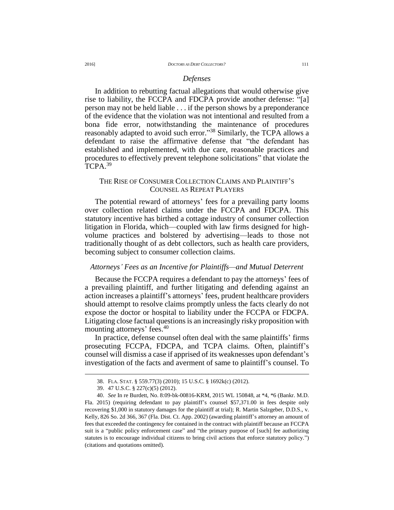#### *Defenses*

In addition to rebutting factual allegations that would otherwise give rise to liability, the FCCPA and FDCPA provide another defense: "[a] person may not be held liable . . . if the person shows by a preponderance of the evidence that the violation was not intentional and resulted from a bona fide error, notwithstanding the maintenance of procedures reasonably adapted to avoid such error."<sup>38</sup> Similarly, the TCPA allows a defendant to raise the affirmative defense that "the defendant has established and implemented, with due care, reasonable practices and procedures to effectively prevent telephone solicitations" that violate the TCPA.<sup>39</sup>

# THE RISE OF CONSUMER COLLECTION CLAIMS AND PLAINTIFF'S COUNSEL AS REPEAT PLAYERS

The potential reward of attorneys' fees for a prevailing party looms over collection related claims under the FCCPA and FDCPA. This statutory incentive has birthed a cottage industry of consumer collection litigation in Florida, which—coupled with law firms designed for highvolume practices and bolstered by advertising—leads to those not traditionally thought of as debt collectors, such as health care providers, becoming subject to consumer collection claims.

#### *Attorneys' Fees as an Incentive for Plaintiffs—and Mutual Deterrent*

Because the FCCPA requires a defendant to pay the attorneys' fees of a prevailing plaintiff, and further litigating and defending against an action increases a plaintiff's attorneys' fees, prudent healthcare providers should attempt to resolve claims promptly unless the facts clearly do not expose the doctor or hospital to liability under the FCCPA or FDCPA. Litigating close factual questions is an increasingly risky proposition with mounting attorneys' fees.<sup>40</sup>

In practice, defense counsel often deal with the same plaintiffs' firms prosecuting FCCPA, FDCPA, and TCPA claims. Often, plaintiff's counsel will dismiss a case if apprised of its weaknesses upon defendant's investigation of the facts and averment of same to plaintiff's counsel. To

<sup>38.</sup> FLA. STAT. § 559.77(3) (2010); 15 U.S.C. § 1692k(c) (2012).

<sup>39.</sup> 47 U.S.C. § 227(c)(5) (2012).

<sup>40.</sup> *See* In re Burdett, No. 8:09-bk-00816-KRM, 2015 WL 150848, at \*4, \*6 (Bankr. M.D. Fla. 2015) (requiring defendant to pay plaintiff's counsel \$57,371.00 in fees despite only recovering \$1,000 in statutory damages for the plaintiff at trial); R. Martin Salzgeber, D.D.S., v. Kelly, 826 So. 2d 366, 367 (Fla. Dist. Ct. App. 2002) (awarding plaintiff's attorney an amount of fees that exceeded the contingency fee contained in the contract with plaintiff because an FCCPA suit is a "public policy enforcement case" and "the primary purpose of [such] fee authorizing statutes is to encourage individual citizens to bring civil actions that enforce statutory policy.") (citations and quotations omitted).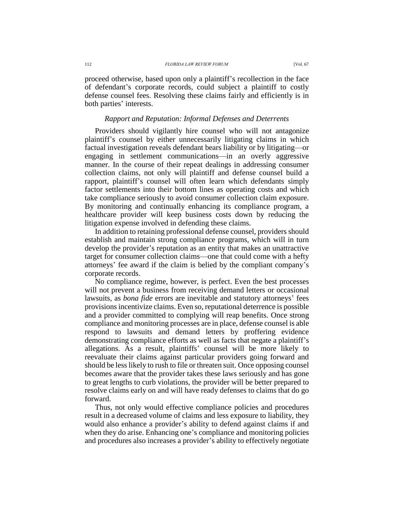proceed otherwise, based upon only a plaintiff's recollection in the face of defendant's corporate records, could subject a plaintiff to costly defense counsel fees. Resolving these claims fairly and efficiently is in both parties' interests.

#### *Rapport and Reputation: Informal Defenses and Deterrents*

Providers should vigilantly hire counsel who will not antagonize plaintiff's counsel by either unnecessarily litigating claims in which factual investigation reveals defendant bears liability or by litigating—or engaging in settlement communications—in an overly aggressive manner. In the course of their repeat dealings in addressing consumer collection claims, not only will plaintiff and defense counsel build a rapport, plaintiff's counsel will often learn which defendants simply factor settlements into their bottom lines as operating costs and which take compliance seriously to avoid consumer collection claim exposure. By monitoring and continually enhancing its compliance program, a healthcare provider will keep business costs down by reducing the litigation expense involved in defending these claims.

In addition to retaining professional defense counsel, providers should establish and maintain strong compliance programs, which will in turn develop the provider's reputation as an entity that makes an unattractive target for consumer collection claims—one that could come with a hefty attorneys' fee award if the claim is belied by the compliant company's corporate records.

No compliance regime, however, is perfect. Even the best processes will not prevent a business from receiving demand letters or occasional lawsuits, as *bona fide* errors are inevitable and statutory attorneys' fees provisions incentivize claims. Even so, reputational deterrence is possible and a provider committed to complying will reap benefits. Once strong compliance and monitoring processes are in place, defense counsel is able respond to lawsuits and demand letters by proffering evidence demonstrating compliance efforts as well as facts that negate a plaintiff's allegations. As a result, plaintiffs' counsel will be more likely to reevaluate their claims against particular providers going forward and should be less likely to rush to file or threaten suit. Once opposing counsel becomes aware that the provider takes these laws seriously and has gone to great lengths to curb violations, the provider will be better prepared to resolve claims early on and will have ready defenses to claims that do go forward.

Thus, not only would effective compliance policies and procedures result in a decreased volume of claims and less exposure to liability, they would also enhance a provider's ability to defend against claims if and when they do arise. Enhancing one's compliance and monitoring policies and procedures also increases a provider's ability to effectively negotiate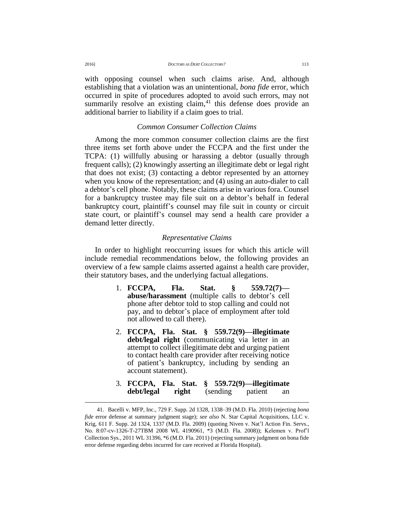with opposing counsel when such claims arise. And, although establishing that a violation was an unintentional, *bona fide* error, which occurred in spite of procedures adopted to avoid such errors, may not summarily resolve an existing claim, $41$  this defense does provide an additional barrier to liability if a claim goes to trial.

### *Common Consumer Collection Claims*

Among the more common consumer collection claims are the first three items set forth above under the FCCPA and the first under the TCPA: (1) willfully abusing or harassing a debtor (usually through frequent calls); (2) knowingly asserting an illegitimate debt or legal right that does not exist; (3) contacting a debtor represented by an attorney when you know of the representation; and (4) using an auto-dialer to call a debtor's cell phone. Notably, these claims arise in various fora. Counsel for a bankruptcy trustee may file suit on a debtor's behalf in federal bankruptcy court, plaintiff's counsel may file suit in county or circuit state court, or plaintiff's counsel may send a health care provider a demand letter directly.

#### *Representative Claims*

In order to highlight reoccurring issues for which this article will include remedial recommendations below, the following provides an overview of a few sample claims asserted against a health care provider, their statutory bases, and the underlying factual allegations.

- 1. **FCCPA, Fla. Stat. § 559.72(7) abuse/harassment** (multiple calls to debtor's cell phone after debtor told to stop calling and could not pay, and to debtor's place of employment after told not allowed to call there).
- 2. **FCCPA, Fla. Stat. § 559.72(9)—illegitimate debt/legal right** (communicating via letter in an attempt to collect illegitimate debt and urging patient to contact health care provider after receiving notice of patient's bankruptcy, including by sending an account statement).
- 3. **FCCPA, Fla. Stat. § 559.72(9)—illegitimate debt/legal right** (sending patient an

<sup>41.</sup> Bacelli v. MFP, Inc., 729 F. Supp. 2d 1328, 1338–39 (M.D. Fla. 2010) (rejecting *bona fide* error defense at summary judgment stage); *see also* N. Star Capital Acquisitions, LLC v. Krig, 611 F. Supp. 2d 1324, 1337 (M.D. Fla. 2009) (quoting Niven v. Nat'l Action Fin. Servs., No. 8:07-cv-1326-T-27TBM 2008 WL 4190961, \*3 (M.D. Fla. 2008)); Kelemen v. Prof'l Collection Sys*.*, 2011 WL 31396, \*6 (M.D. Fla. 2011) (rejecting summary judgment on bona fide error defense regarding debts incurred for care received at Florida Hospital).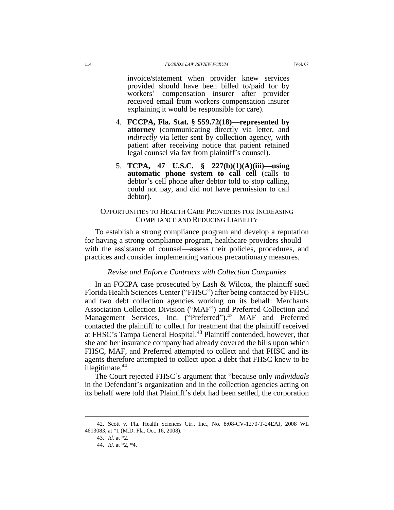invoice/statement when provider knew services provided should have been billed to/paid for by workers' compensation insurer after provider received email from workers compensation insurer explaining it would be responsible for care).

- 4. **FCCPA, Fla. Stat. § 559.72(18)—represented by attorney** (communicating directly via letter, and *indirectly* via letter sent by collection agency, with patient after receiving notice that patient retained legal counsel via fax from plaintiff's counsel).
- 5. **TCPA, 47 U.S.C. § 227(b)(1)(A)(iii)—using automatic phone system to call cell** (calls to debtor's cell phone after debtor told to stop calling, could not pay, and did not have permission to call debtor).

### OPPORTUNITIES TO HEALTH CARE PROVIDERS FOR INCREASING COMPLIANCE AND REDUCING LIABILITY

To establish a strong compliance program and develop a reputation for having a strong compliance program, healthcare providers should with the assistance of counsel—assess their policies, procedures, and practices and consider implementing various precautionary measures.

### *Revise and Enforce Contracts with Collection Companies*

In an FCCPA case prosecuted by Lash & Wilcox, the plaintiff sued Florida Health Sciences Center ("FHSC") after being contacted by FHSC and two debt collection agencies working on its behalf: Merchants Association Collection Division ("MAF") and Preferred Collection and Management Services, Inc. ("Preferred").<sup>42</sup> MAF and Preferred contacted the plaintiff to collect for treatment that the plaintiff received at FHSC's Tampa General Hospital.<sup>43</sup> Plaintiff contended, however, that she and her insurance company had already covered the bills upon which FHSC, MAF, and Preferred attempted to collect and that FHSC and its agents therefore attempted to collect upon a debt that FHSC knew to be illegitimate. $44$ 

The Court rejected FHSC's argument that "because only *individuals* in the Defendant's organization and in the collection agencies acting on its behalf were told that Plaintiff's debt had been settled, the corporation

<sup>42.</sup> Scott v. Fla. Health Sciences Ctr., Inc., No. 8:08-CV-1270-T-24EAJ, 2008 WL 4613083, at \*1 (M.D. Fla. Oct. 16, 2008).

<sup>43.</sup> *Id.* at \*2.

<sup>44.</sup> *Id.* at \*2, \*4.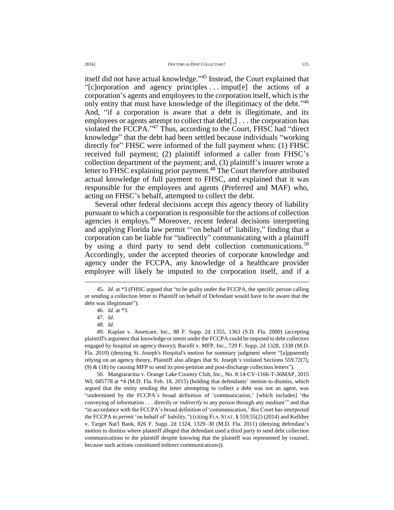itself did not have actual knowledge." <sup>45</sup> Instead, the Court explained that "[c]orporation and agency principles . . . imput[e] the actions of a corporation's agents and employees to the corporation itself, which is the only entity that must have knowledge of the illegitimacy of the debt."<sup>46</sup> And, "if a corporation is aware that a debt is illegitimate, and its employees or agents attempt to collect that debt[,] . . . the corporation has violated the FCCPA." <sup>47</sup> Thus, according to the Court, FHSC had "direct knowledge" that the debt had been settled because individuals "working directly for" FHSC were informed of the full payment when: (1) FHSC received full payment; (2) plaintiff informed a caller from FHSC's collection department of the payment; and, (3) plaintiff's insurer wrote a letter to FHSC explaining prior payment.<sup>48</sup> The Court therefore attributed actual knowledge of full payment to FHSC, and explained that it was responsible for the employees and agents (Preferred and MAF) who, acting on FHSC's behalf, attempted to collect the debt.

Several other federal decisions accept this agency theory of liability pursuant to which a corporation is responsible for the actions of collection agencies it employs.<sup>49</sup> Moreover, recent federal decisions interpreting and applying Florida law permit "'on behalf of' liability," finding that a corporation can be liable for "indirectly" communicating with a plaintiff by using a third party to send debt collection communications.<sup>50</sup> Accordingly, under the accepted theories of corporate knowledge and agency under the FCCPA, any knowledge of a healthcare provider employee will likely be imputed to the corporation itself, and if a

 $\overline{a}$ 

50. Mangiaracina v. Orange Lake Country Club, Inc., No. 8:14-CV-1166-T-36MAP, 2015 WL 685778 at \*4 (M.D. Fla. Feb. 18, 2015) (holding that defendants' motion to dismiss, which argued that the entity sending the letter attempting to collect a debt was not an agent, was "undermined by the FCCPA's broad definition of 'communication,' [which includes] 'the conveying of information . . . directly *or indirectly* to any person through any medium'" and that "in accordance with the FCCPA's broad definition of 'communication,' this Court has interpreted the FCCPA to *permit* 'on behalf of' liability.") (citing FLA. STAT. § 559.55(2) (2014) and Kelliher v. Target Nat'l Bank*,* 826 F. Supp. 2d 1324, 1329–30 (M.D. Fla. 2011) (denying defendant's motion to dismiss where plaintiff alleged that defendant used a third party to send debt collection communications to the plaintiff despite knowing that the plaintiff was represented by counsel, because such actions constituted indirect communications)).

<sup>45.</sup> *Id.* at \*3 (FHSC argued that "to be guilty under the FCCPA, the specific person calling or sending a collection letter to Plaintiff on behalf of Defendant would have to be aware that the debt was illegitimate").

<sup>46.</sup> *Id.* at \*3.

<sup>47.</sup> *Id.*

<sup>48.</sup> *Id.*

<sup>49.</sup> Kaplan v. Assetcare, Inc., 88 F. Supp. 2d 1355, 1363 (S.D. Fla. 2000) (accepting plaintiff's argument that knowledge or intent under the FCCPA could be imputed to debt collectors engaged by hospital on agency theory); Bacelli v. MFP, Inc., 729 F. Supp. 2d 1328, 1338 (M.D. Fla. 2010) (denying St. Joseph's Hospital's motion for summary judgment where "[a]pparently relying on an agency theory, Plaintiff also alleges that St. Joseph's violated Sections 559.72(7), (9)  $\&$  (18) by causing MFP to send its post-petition and post-discharge collection letters").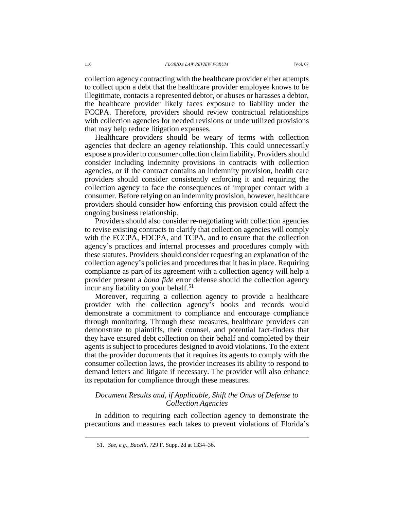collection agency contracting with the healthcare provider either attempts to collect upon a debt that the healthcare provider employee knows to be illegitimate, contacts a represented debtor, or abuses or harasses a debtor, the healthcare provider likely faces exposure to liability under the FCCPA. Therefore, providers should review contractual relationships with collection agencies for needed revisions or underutilized provisions that may help reduce litigation expenses.

Healthcare providers should be weary of terms with collection agencies that declare an agency relationship. This could unnecessarily expose a provider to consumer collection claim liability. Providers should consider including indemnity provisions in contracts with collection agencies, or if the contract contains an indemnity provision, health care providers should consider consistently enforcing it and requiring the collection agency to face the consequences of improper contact with a consumer. Before relying on an indemnity provision, however, healthcare providers should consider how enforcing this provision could affect the ongoing business relationship.

Providers should also consider re-negotiating with collection agencies to revise existing contracts to clarify that collection agencies will comply with the FCCPA, FDCPA, and TCPA, and to ensure that the collection agency's practices and internal processes and procedures comply with these statutes. Providers should consider requesting an explanation of the collection agency's policies and procedures that it has in place. Requiring compliance as part of its agreement with a collection agency will help a provider present a *bona fide* error defense should the collection agency incur any liability on your behalf.<sup>51</sup>

Moreover, requiring a collection agency to provide a healthcare provider with the collection agency's books and records would demonstrate a commitment to compliance and encourage compliance through monitoring. Through these measures, healthcare providers can demonstrate to plaintiffs, their counsel, and potential fact-finders that they have ensured debt collection on their behalf and completed by their agents is subject to procedures designed to avoid violations. To the extent that the provider documents that it requires its agents to comply with the consumer collection laws, the provider increases its ability to respond to demand letters and litigate if necessary. The provider will also enhance its reputation for compliance through these measures.

# *Document Results and, if Applicable, Shift the Onus of Defense to Collection Agencies*

In addition to requiring each collection agency to demonstrate the precautions and measures each takes to prevent violations of Florida's

<sup>51.</sup> *See, e.g.*, *Bacelli*, 729 F. Supp. 2d at 1334–36.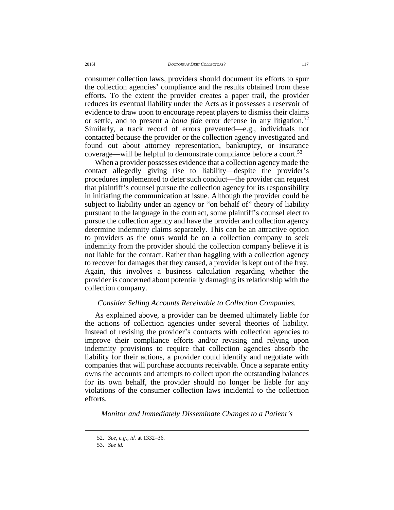consumer collection laws, providers should document its efforts to spur the collection agencies' compliance and the results obtained from these efforts. To the extent the provider creates a paper trail, the provider reduces its eventual liability under the Acts as it possesses a reservoir of evidence to draw upon to encourage repeat players to dismiss their claims or settle, and to present a *bona fide* error defense in any litigation.<sup>52</sup> Similarly, a track record of errors prevented—e.g., individuals not contacted because the provider or the collection agency investigated and found out about attorney representation, bankruptcy, or insurance coverage—will be helpful to demonstrate compliance before a court.<sup>53</sup>

When a provider possesses evidence that a collection agency made the contact allegedly giving rise to liability—despite the provider's procedures implemented to deter such conduct—the provider can request that plaintiff's counsel pursue the collection agency for its responsibility in initiating the communication at issue. Although the provider could be subject to liability under an agency or "on behalf of" theory of liability pursuant to the language in the contract, some plaintiff's counsel elect to pursue the collection agency and have the provider and collection agency determine indemnity claims separately. This can be an attractive option to providers as the onus would be on a collection company to seek indemnity from the provider should the collection company believe it is not liable for the contact. Rather than haggling with a collection agency to recover for damages that they caused, a provider is kept out of the fray. Again, this involves a business calculation regarding whether the provider is concerned about potentially damaging its relationship with the collection company.

### *Consider Selling Accounts Receivable to Collection Companies.*

As explained above, a provider can be deemed ultimately liable for the actions of collection agencies under several theories of liability. Instead of revising the provider's contracts with collection agencies to improve their compliance efforts and/or revising and relying upon indemnity provisions to require that collection agencies absorb the liability for their actions, a provider could identify and negotiate with companies that will purchase accounts receivable. Once a separate entity owns the accounts and attempts to collect upon the outstanding balances for its own behalf, the provider should no longer be liable for any violations of the consumer collection laws incidental to the collection efforts.

*Monitor and Immediately Disseminate Changes to a Patient's* 

<sup>52.</sup> *See, e.g.*, *id.* at 1332–36.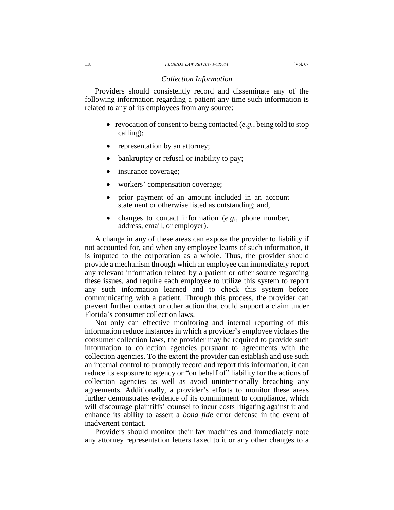#### *Collection Information*

Providers should consistently record and disseminate any of the following information regarding a patient any time such information is related to any of its employees from any source:

- revocation of consent to being contacted (*e.g.*, being told to stop calling);
- representation by an attorney;
- bankruptcy or refusal or inability to pay;
- insurance coverage;
- workers' compensation coverage;
- prior payment of an amount included in an account statement or otherwise listed as outstanding; and,
- changes to contact information (*e.g.*, phone number, address, email, or employer).

A change in any of these areas can expose the provider to liability if not accounted for, and when any employee learns of such information, it is imputed to the corporation as a whole. Thus, the provider should provide a mechanism through which an employee can immediately report any relevant information related by a patient or other source regarding these issues, and require each employee to utilize this system to report any such information learned and to check this system before communicating with a patient. Through this process, the provider can prevent further contact or other action that could support a claim under Florida's consumer collection laws.

Not only can effective monitoring and internal reporting of this information reduce instances in which a provider's employee violates the consumer collection laws, the provider may be required to provide such information to collection agencies pursuant to agreements with the collection agencies. To the extent the provider can establish and use such an internal control to promptly record and report this information, it can reduce its exposure to agency or "on behalf of" liability for the actions of collection agencies as well as avoid unintentionally breaching any agreements. Additionally, a provider's efforts to monitor these areas further demonstrates evidence of its commitment to compliance, which will discourage plaintiffs' counsel to incur costs litigating against it and enhance its ability to assert a *bona fide* error defense in the event of inadvertent contact.

Providers should monitor their fax machines and immediately note any attorney representation letters faxed to it or any other changes to a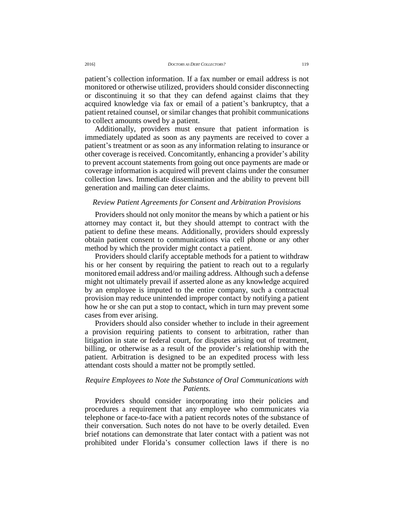patient's collection information. If a fax number or email address is not monitored or otherwise utilized, providers should consider disconnecting or discontinuing it so that they can defend against claims that they acquired knowledge via fax or email of a patient's bankruptcy, that a patient retained counsel, or similar changes that prohibit communications to collect amounts owed by a patient.

Additionally, providers must ensure that patient information is immediately updated as soon as any payments are received to cover a patient's treatment or as soon as any information relating to insurance or other coverage is received. Concomitantly, enhancing a provider's ability to prevent account statements from going out once payments are made or coverage information is acquired will prevent claims under the consumer collection laws. Immediate dissemination and the ability to prevent bill generation and mailing can deter claims.

### *Review Patient Agreements for Consent and Arbitration Provisions*

Providers should not only monitor the means by which a patient or his attorney may contact it, but they should attempt to contract with the patient to define these means. Additionally, providers should expressly obtain patient consent to communications via cell phone or any other method by which the provider might contact a patient.

Providers should clarify acceptable methods for a patient to withdraw his or her consent by requiring the patient to reach out to a regularly monitored email address and/or mailing address. Although such a defense might not ultimately prevail if asserted alone as any knowledge acquired by an employee is imputed to the entire company, such a contractual provision may reduce unintended improper contact by notifying a patient how he or she can put a stop to contact, which in turn may prevent some cases from ever arising.

Providers should also consider whether to include in their agreement a provision requiring patients to consent to arbitration, rather than litigation in state or federal court, for disputes arising out of treatment, billing, or otherwise as a result of the provider's relationship with the patient. Arbitration is designed to be an expedited process with less attendant costs should a matter not be promptly settled.

# *Require Employees to Note the Substance of Oral Communications with Patients.*

Providers should consider incorporating into their policies and procedures a requirement that any employee who communicates via telephone or face-to-face with a patient records notes of the substance of their conversation. Such notes do not have to be overly detailed. Even brief notations can demonstrate that later contact with a patient was not prohibited under Florida's consumer collection laws if there is no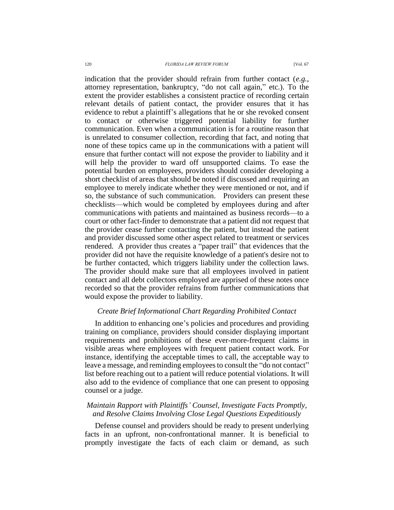indication that the provider should refrain from further contact (*e.g.*, attorney representation, bankruptcy, "do not call again," etc.). To the extent the provider establishes a consistent practice of recording certain relevant details of patient contact, the provider ensures that it has evidence to rebut a plaintiff's allegations that he or she revoked consent to contact or otherwise triggered potential liability for further communication. Even when a communication is for a routine reason that is unrelated to consumer collection, recording that fact, and noting that none of these topics came up in the communications with a patient will ensure that further contact will not expose the provider to liability and it will help the provider to ward off unsupported claims. To ease the potential burden on employees, providers should consider developing a short checklist of areas that should be noted if discussed and requiring an employee to merely indicate whether they were mentioned or not, and if so, the substance of such communication. Providers can present these checklists—which would be completed by employees during and after communications with patients and maintained as business records—to a court or other fact-finder to demonstrate that a patient did not request that the provider cease further contacting the patient, but instead the patient and provider discussed some other aspect related to treatment or services rendered. A provider thus creates a "paper trail" that evidences that the provider did not have the requisite knowledge of a patient's desire not to be further contacted, which triggers liability under the collection laws. The provider should make sure that all employees involved in patient contact and all debt collectors employed are apprised of these notes once recorded so that the provider refrains from further communications that would expose the provider to liability.

### *Create Brief Informational Chart Regarding Prohibited Contact*

In addition to enhancing one's policies and procedures and providing training on compliance, providers should consider displaying important requirements and prohibitions of these ever-more-frequent claims in visible areas where employees with frequent patient contact work. For instance, identifying the acceptable times to call, the acceptable way to leave a message, and reminding employees to consult the "do not contact" list before reaching out to a patient will reduce potential violations. It will also add to the evidence of compliance that one can present to opposing counsel or a judge.

# *Maintain Rapport with Plaintiffs' Counsel, Investigate Facts Promptly, and Resolve Claims Involving Close Legal Questions Expeditiously*

Defense counsel and providers should be ready to present underlying facts in an upfront, non-confrontational manner. It is beneficial to promptly investigate the facts of each claim or demand, as such